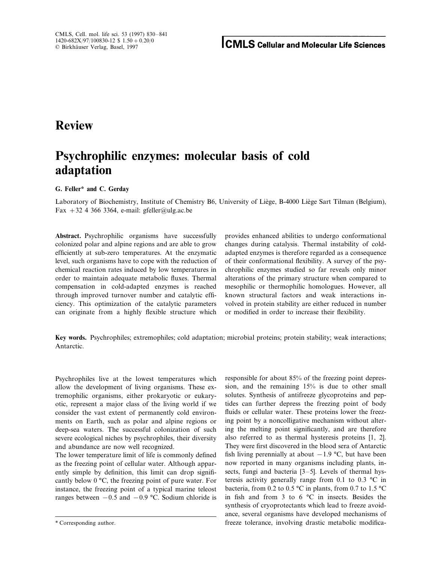## **Review**

# **Psychrophilic enzymes: molecular basis of cold adaptation**

**G. Feller\* and C. Gerday**

Laboratory of Biochemistry, Institute of Chemistry B6, University of Liège, B-4000 Liège Sart Tilman (Belgium), Fax  $+32$  4 366 3364, e-mail: gfeller@ulg.ac.be

**Abstract.** Psychrophilic organisms have successfully provides enhanced abilities to undergo conformational colonized polar and alpine regions and are able to grow changes during catalysis. Thermal instability of coldefficiently at sub-zero temperatures. At the enzymatic adapted enzymes is therefore regarded as a consequence level, such organisms have to cope with the reduction of of their conformational flexibility. A survey of the psychemical reaction rates induced by low temperatures in chrophilic enzymes studied so far reveals only minor order to maintain adequate metabolic fluxes. Thermal alterations of the primary structure when compared to compensation in cold-adapted enzymes is reached mesophilic or thermophilic homologues. However, all through improved turnover number and catalytic effi- known structural factors and weak interactions inciency. This optimization of the catalytic parameters volved in protein stability are either reduced in number can originate from a highly flexible structure which or modified in order to increase their flexibility.

**Key words.** Psychrophiles; extremophiles; cold adaptation; microbial proteins; protein stability; weak interactions; Antarctic.

Psychrophiles live at the lowest temperatures which allow the development of living organisms. These extremophilic organisms, either prokaryotic or eukaryotic, represent a major class of the living world if we consider the vast extent of permanently cold environments on Earth, such as polar and alpine regions or deep-sea waters. The successful colonization of such severe ecological niches by psychrophiles, their diversity and abundance are now well recognized.

The lower temperature limit of life is commonly defined as the freezing point of cellular water. Although apparently simple by definition, this limit can drop significantly below 0 °C, the freezing point of pure water. For instance, the freezing point of a typical marine teleost ranges between  $-0.5$  and  $-0.9$  °C. Sodium chloride is

responsible for about 85% of the freezing point depression, and the remaining 15% is due to other small solutes. Synthesis of antifreeze glycoproteins and peptides can further depress the freezing point of body fluids or cellular water. These proteins lower the freezing point by a noncolligative mechanism without altering the melting point significantly, and are therefore also referred to as thermal hysteresis proteins [1, 2]. They were first discovered in the blood sera of Antarctic fish living perennially at about  $-1.9$  °C, but have been now reported in many organisms including plants, insects, fungi and bacteria [3–5]. Levels of thermal hysteresis activity generally range from 0.1 to 0.3 °C in bacteria, from 0.2 to 0.5 °C in plants, from 0.7 to 1.5 °C in fish and from 3 to 6 °C in insects. Besides the synthesis of cryoprotectants which lead to freeze avoidance, several organisms have developed mechanisms of \* Corresponding author. freeze tolerance, involving drastic metabolic modifica-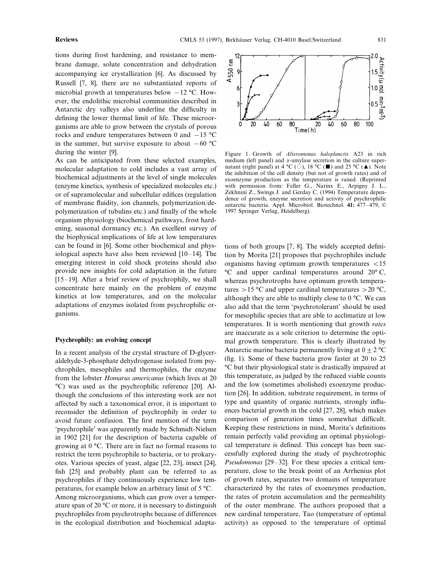tions during frost hardening, and resistance to membrane damage, solute concentration and dehydration accompanying ice crystallization [6]. As discussed by Russell [7, 8], there are no substantiated reports of microbial growth at temperatures below  $-12$  °C. However, the endolithic microbial communities described in Antarctic dry valleys also underline the difficulty in defining the lower thermal limit of life. These microorganisms are able to grow between the crystals of porous rocks and endure temperatures between 0 and −15 °C in the summer, but survive exposure to about  $-60$  °C during the winter [9].

As can be anticipated from these selected examples, molecular adaptation to cold includes a vast array of biochemical adjustments at the level of single molecules (enzyme kinetics, synthesis of specialized molecules etc.) or of supramolecular and subcellular edifices (regulation of membrane fluidity, ion channels, polymerization/depolymerization of tubulins etc.) and finally of the whole organism physiology (biochemical pathways, frost hardening, seasonal dormancy etc.). An excellent survey of the biophysical implications of life at low temperatures can be found in [6]. Some other biochemical and physiological aspects have also been reviewed [10–14]. The emerging interest in cold shock proteins should also provide new insights for cold adaptation in the future  $[15–19]$ . After a brief review of psychrophily, we shall concentrate here mainly on the problem of enzyme kinetics at low temperatures, and on the molecular adaptations of enzymes isolated from psychrophilic organisms.

#### **Psychrophily: an evolving concept**

In a recent analysis of the crystal structure of D-glyceraldehyde-3-phosphate dehydrogenase isolated from psychrophiles, mesophiles and thermophiles, the enzyme from the lobster *Homarus americanus* (which lives at 20 °C) was used as the psychrophilic reference [20]. Although the conclusions of this interesting work are not affected by such a taxonomical error, it is important to reconsider the definition of psychrophily in order to avoid future confusion. The first mention of the term 'psychrophile' was apparently made by Schmidt-Nielsen in 1902 [21] for the description of bacteria capable of growing at 0 °C. There are in fact no formal reasons to restrict the term psychrophile to bacteria, or to prokaryotes. Various species of yeast, algae [22, 23], insect [24], fish [25] and probably plant can be referred to as psychrophiles if they continuously experience low temperatures, for example below an arbitrary limit of 5 °C. Among microorganisms, which can grow over a temperature span of 20 °C or more, it is necessary to distinguish psychrophiles from psychrotrophs because of differences in the ecological distribution and biochemical adapta-



Figure 1. Growth of *Alteromonas haloplanctis* A23 in rich medium (left panel) and  $\alpha$ -amylase secretion in the culture supernatant (right panel) at 4 °C ( $\circ$ ), 18 °C ( $\blacksquare$ ) and 25 °C ( $\blacktriangle$ ). Note the inhibition of the cell density (but not of growth rates) and of exoenzyme production as the temperature is raised. (Reprinted with permission from: Feller G., Narinx E., Arpigny J. L., Zekhnini Z., Swings J. and Gerday C. (1994) Temperature dependence of growth, enzyme secretion and activity of psychrophilic antarctic bacteria. Appl. Microbiol. Biotechnol. **41:** 477–479, © 1997 Springer Verlag, Heidelberg).

tions of both groups [7, 8]. The widely accepted definition by Morita [21] proposes that psychrophiles include organisms having optimum growth temperatures  $<$ 15 °C and upper cardinal temperatures around 20° C, whereas psychrotrophs have optimum growth temperatures  $> 15 \degree C$  and upper cardinal temperatures  $> 20 \degree C$ , although they are able to multiply close to  $0^{\circ}$ C. We can also add that the term 'psychrotolerant' should be used for mesophilic species that are able to acclimatize at low temperatures. It is worth mentioning that growth *rates* are inaccurate as a sole criterion to determine the optimal growth temperature. This is clearly illustrated by Antarctic marine bacteria permanently living at  $0 \pm 2 \degree C$ (fig. 1). Some of these bacteria grow faster at 20 to 25 °C but their physiological state is drastically impaired at this temperature, as judged by the reduced viable counts and the low (sometimes abolished) exoenzyme production [26]. In addition, substrate requirement, in terms of type and quantity of organic nutrients, strongly influences bacterial growth in the cold [27, 28], which makes comparison of generation times somewhat difficult. Keeping these restrictions in mind, Morita's definitions remain perfectly valid providing an optimal physiological temperature is defined. This concept has been successfully explored during the study of psychrotrophic *Pseudomonas* [29–32]. For these species a critical temperature, close to the break point of an Arrhenius plot of growth rates, separates two domains of temperature characterized by the rates of exoenzymes production, the rates of protein accumulation and the permeability of the outer membrane. The authors proposed that a new cardinal temperature, Tao (temperature of optimal activity) as opposed to the temperature of optimal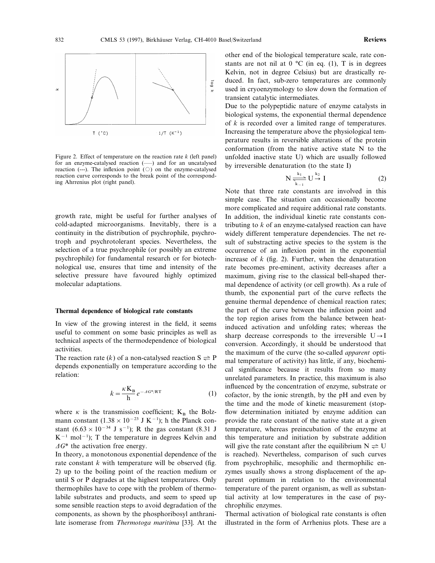

Figure 2. Effect of temperature on the reaction rate *k* (left panel) for an enzyme-catalysed reaction  $($ ) and for an uncatalysed reaction (---). The inflexion point  $(\bigcirc)$  on the enzyme-catalysed reaction curve corresponds to the break point of the corresponding Ahrrenius plot (right panel).

growth rate, might be useful for further analyses of cold-adapted microorganisms. Inevitably, there is a continuity in the distribution of psychrophile, psychrotroph and psychrotolerant species. Nevertheless, the selection of a true psychrophile (or possibly an extreme psychrophile) for fundamental research or for biotechnological use, ensures that time and intensity of the selective pressure have favoured highly optimized molecular adaptations.

#### **Thermal dependence of biological rate constants**

In view of the growing interest in the field, it seems useful to comment on some basic principles as well as technical aspects of the thermodependence of biological activities.

The reaction rate  $(k)$  of a non-catalysed reaction  $S \rightleftharpoons P$ depends exponentially on temperature according to the relation:

$$
k = \frac{\kappa \mathbf{K}_{\mathbf{B}}}{\mathbf{h}} e^{-A G^* / RT}
$$
 (1)

where  $\kappa$  is the transmission coefficient;  $K_B$  the Bolzmann constant  $(1.38 \times 10^{-23} \text{ J K}^{-1})$ ; h the Planck constant (6.63 × 10<sup>-34</sup> J s<sup>-1</sup>); R the gas constant (8.31 J  $K^{-1}$  mol<sup>-1</sup>); T the temperature in degrees Kelvin and  $\Delta G^*$  the activation free energy.

In theory, a monotonous exponential dependence of the rate constant *k* with temperature will be observed (fig. 2) up to the boiling point of the reaction medium or until S or P degrades at the highest temperatures. Only thermophiles have to cope with the problem of thermolabile substrates and products, and seem to speed up some sensible reaction steps to avoid degradation of the components, as shown by the phosphoribosyl anthranilate isomerase from *Thermotoga maritima* [33]. At the other end of the biological temperature scale, rate constants are not nil at  $0^{\circ}$ C (in eq. (1), T is in degrees Kelvin, not in degree Celsius) but are drastically reduced. In fact, sub-zero temperatures are commonly used in cryoenzymology to slow down the formation of transient catalytic intermediates.

Due to the polypeptidic nature of enzyme catalysts in biological systems, the exponential thermal dependence of *k* is recorded over a limited range of temperatures. Increasing the temperature above the physiological temperature results in reversible alterations of the protein conformation (from the native active state N to the unfolded inactive state U) which are usually followed by irreversible denaturation (to the state I)

$$
N \frac{\frac{k_1}{k_1}}{k_{-1}} \cup \frac{k_2}{\rightarrow} I \tag{2}
$$

Note that three rate constants are involved in this simple case. The situation can occasionally become more complicated and require additional rate constants. In addition, the individual kinetic rate constants contributing to *k* of an enzyme-catalysed reaction can have widely different temperature dependencies. The net result of substracting active species to the system is the occurrence of an inflexion point in the exponential increase of  $k$  (fig. 2). Further, when the denaturation rate becomes pre-eminent, activity decreases after a maximum, giving rise to the classical bell-shaped thermal dependence of activity (or cell growth). As a rule of thumb, the exponential part of the curve reflects the genuine thermal dependence of chemical reaction rates; the part of the curve between the inflexion point and the top region arises from the balance between heatinduced activation and unfolding rates; whereas the sharp decrease corresponds to the irreversible  $U \rightarrow I$ conversion. Accordingly, it should be understood that the maximum of the curve (the so-called *apparent* optimal temperature of activity) has little, if any, biochemical significance because it results from so many unrelated parameters. In practice, this maximum is also influenced by the concentration of enzyme, substrate or cofactor, by the ionic strength, by the pH and even by the time and the mode of kinetic measurement (stopflow determination initiated by enzyme addition can provide the rate constant of the native state at a given temperature, whereas preincubation of the enzyme at this temperature and initiation by substrate addition will give the rate constant after the equilibrium  $N \rightleftharpoons U$ is reached). Nevertheless, comparison of such curves from psychrophilic, mesophilic and thermophilic enzymes usually shows a strong displacement of the apparent optimum in relation to the environmental temperature of the parent organism, as well as substantial activity at low temperatures in the case of psychrophilic enzymes.

Thermal activation of biological rate constants is often illustrated in the form of Arrhenius plots. These are a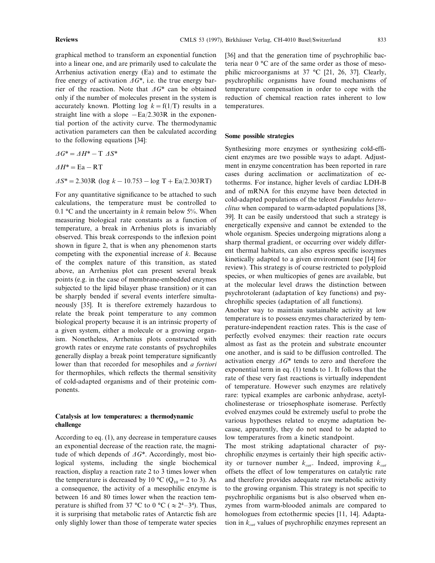graphical method to transform an exponential function into a linear one, and are primarily used to calculate the Arrhenius activation energy (Ea) and to estimate the free energy of activation  $\Delta G^*$ , i.e. the true energy barrier of the reaction. Note that  $\Delta G^*$  can be obtained only if the number of molecules present in the system is accurately known. Plotting  $log k = f(1/T)$  results in a straight line with a slope  $-Ea/2.303R$  in the exponential portion of the activity curve. The thermodynamic activation parameters can then be calculated according to the following equations [34]:

 $\Delta G^* = \Delta H^* - T \ \Delta S^*$ D*H\**=Ea−RT

D*S\**=2.303R (log *k*−10.753−log T+Ea/2.303RT)

For any quantitative significance to be attached to such calculations, the temperature must be controlled to 0.1  $\degree$ C and the uncertainty in *k* remain below 5%. When measuring biological rate constants as a function of temperature, a break in Arrhenius plots is invariably observed. This break corresponds to the inflexion point shown in figure 2, that is when any phenomenon starts competing with the exponential increase of *k*. Because of the complex nature of this transition, as stated above, an Arrhenius plot can present several break points (e.g. in the case of membrane-embedded enzymes subjected to the lipid bilayer phase transition) or it can be sharply bended if several events interfere simultaneously [35]. It is therefore extremely hazardous to relate the break point temperature to any common biological property because it is an intrinsic property of a given system, either a molecule or a growing organism. Nonetheless, Arrhenius plots constructed with growth rates or enzyme rate constants of psychrophiles generally display a break point temperature significantly lower than that recorded for mesophiles and *a fortiori* for thermophiles, which reflects the thermal sensitivity of cold-adapted organisms and of their proteinic components.

### **Catalysis at low temperatures: a thermodynamic challenge**

According to eq. (1), any decrease in temperature causes an exponential decrease of the reaction rate, the magnitude of which depends of  $\Delta G^*$ . Accordingly, most biological systems, including the single biochemical reaction, display a reaction rate 2 to 3 times lower when the temperature is decreased by 10 °C ( $Q_{10} = 2$  to 3). As a consequence, the activity of a mesophilic enzyme is between 16 and 80 times lower when the reaction temperature is shifted from 37 °C to 0 °C ( $\approx 2^4 - 3^4$ ). Thus, it is surprising that metabolic rates of Antarctic fish are only slighly lower than those of temperate water species [36] and that the generation time of psychrophilic bacteria near 0 °C are of the same order as those of mesophilic microorganisms at 37 °C [21, 26, 37]. Clearly, psychrophilic organisms have found mechanisms of temperature compensation in order to cope with the reduction of chemical reaction rates inherent to low temperatures.

### **Some possible strategies**

Synthesizing more enzymes or synthesizing cold-efficient enzymes are two possible ways to adapt. Adjustment in enzyme concentration has been reported in rare cases during acclimation or acclimatization of ectotherms. For instance, higher levels of cardiac LDH-B and of mRNA for this enzyme have been detected in cold-adapted populations of the teleost *Fundulus heteroclitus* when compared to warm-adapted populations [38, 39]. It can be easily understood that such a strategy is energetically expensive and cannot be extended to the whole organism. Species undergoing migrations along a sharp thermal gradient, or occurring over widely different thermal habitats, can also express specific isozymes kinetically adapted to a given environment (see [14] for review). This strategy is of course restricted to polyploid species, or when multicopies of genes are available, but at the molecular level draws the distinction between psychrotolerant (adaptation of key functions) and psychrophilic species (adaptation of all functions).

Another way to maintain sustainable activity at low temperature is to possess enzymes characterized by temperature-independent reaction rates. This is the case of perfectly evolved enzymes: their reaction rate occurs almost as fast as the protein and substrate encounter one another, and is said to be diffusion controlled. The activation energy  $\Delta G^*$  tends to zero and therefore the exponential term in eq. (1) tends to 1. It follows that the rate of these very fast reactions is virtually independent of temperature. However such enzymes are relatively rare: typical examples are carbonic anhydrase, acetylcholinesterase or triosephosphate isomerase. Perfectly evolved enzymes could be extremely useful to probe the various hypotheses related to enzyme adaptation because, apparently, they do not need to be adapted to low temperatures from a kinetic standpoint.

The most striking adaptational character of psychrophilic enzymes is certainly their high specific activity or turnover number  $k_{cat}$ . Indeed, improving  $k_{cat}$ offsets the effect of low temperatures on catalytic rate and therefore provides adequate raw metabolic activity to the growing organism. This strategy is not specific to psychrophilic organisms but is also observed when enzymes from warm-blooded animals are compared to homologues from ectothermic species [11, 14]. Adaptation in  $k_{cat}$  values of psychrophilic enzymes represent an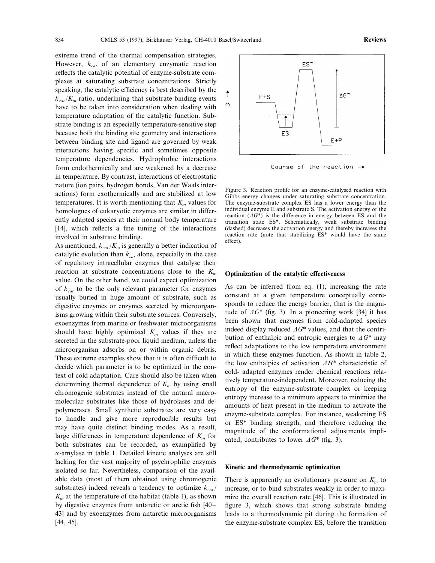extreme trend of the thermal compensation strategies. However,  $k_{cat}$  of an elementary enzymatic reaction reflects the catalytic potential of enzyme-substrate complexes at saturating substrate concentrations. Strictly speaking, the catalytic efficiency is best described by the  $k_{cat}/K_m$  ratio, underlining that substrate binding events have to be taken into consideration when dealing with temperature adaptation of the catalytic function. Substrate binding is an especially temperature-sensitive step because both the binding site geometry and interactions between binding site and ligand are governed by weak interactions having specific and sometimes opposite temperature dependencies. Hydrophobic interactions form endothermically and are weakened by a decrease in temperature. By contrast, interactions of electrostatic nature (ion pairs, hydrogen bonds, Van der Waals interactions) form exothermically and are stabilized at low temperatures. It is worth mentioning that  $K<sub>m</sub>$  values for homologues of eukaryotic enzymes are similar in differ-

ently adapted species at their normal body temperature [14], which reflects a fine tuning of the interactions

involved in substrate binding. As mentioned,  $k_{cat}/K_m$  is generally a better indication of catalytic evolution than  $k_{cat}$  alone, especially in the case of regulatory intracellular enzymes that catalyse their reaction at substrate concentrations close to the  $K_m$ value. On the other hand, we could expect optimization of *kcat* to be the only relevant parameter for enzymes usually buried in huge amount of substrate, such as digestive enzymes or enzymes secreted by microorganisms growing within their substrate sources. Conversely, exoenzymes from marine or freshwater microorganisms should have highly optimized  $K<sub>m</sub>$  values if they are secreted in the substrate-poor liquid medium, unless the microorganism adsorbs on or within organic debris. These extreme examples show that it is often difficult to decide which parameter is to be optimized in the context of cold adaptation. Care should also be taken when determining thermal dependence of  $K<sub>m</sub>$  by using small chromogenic substrates instead of the natural macromolecular substrates like those of hydrolases and depolymerases. Small synthetic substrates are very easy to handle and give more reproducible results but may have quite distinct binding modes. As a result, large differences in temperature dependence of  $K<sub>m</sub>$  for both substrates can be recorded, as examplified by  $\alpha$ -amylase in table 1. Detailed kinetic analyses are still lacking for the vast majority of psychrophilic enzymes isolated so far. Nevertheless, comparison of the available data (most of them obtained using chromogenic substrates) indeed reveals a tendency to optimize  $k_{cat}$  $K<sub>m</sub>$  at the temperature of the habitat (table 1), as shown by digestive enzymes from antarctic or arctic fish [40– 43] and by exoenzymes from antarctic microorganisms [44, 45].



Course of the reaction  $\rightarrow$ 

Figure 3. Reaction profile for an enzyme-catalysed reaction with Gibbs energy changes under saturating substrate concentration. The enzyme-substrate complex ES has a lower energy than the individual enzyme E and substrate S. The activation energy of the reaction  $(\Delta G^*)$  is the difference in energy between ES and the transition state ES\*. Schematically, weak substrate binding (dashed) decreases the activation energy and thereby increases the reaction rate (note that stabilizing ES\* would have the same effect).

### **Optimization of the catalytic effectiveness**

As can be inferred from eq. (1), increasing the rate constant at a given temperature conceptually corresponds to reduce the energy barrier, that is the magnitude of  $\Delta G^*$  (fig. 3). In a pioneering work [34] it has been shown that enzymes from cold-adapted species indeed display reduced  $\Delta G^*$  values, and that the contribution of enthalpic and entropic energies to  $\Delta G^*$  may reflect adaptations to the low temperature environment in which these enzymes function. As shown in table 2, the low enthalpies of activation  $\Delta H^*$  characteristic of cold- adapted enzymes render chemical reactions relatively temperature-independent. Moreover, reducing the entropy of the enzyme-substrate complex or keeping entropy increase to a minimum appears to minimize the amounts of heat present in the medium to activate the enzyme-substrate complex. For instance, weakening ES or ES\* binding strength, and therefore reducing the magnitude of the conformational adjustments implicated, contributes to lower  $\Delta G^*$  (fig. 3).

#### **Kinetic and thermodynamic optimization**

There is apparently an evolutionary pressure on  $K<sub>m</sub>$  to increase, or to bind substrates weakly in order to maximize the overall reaction rate [46]. This is illustrated in figure 3, which shows that strong substrate binding leads to a thermodynamic pit during the formation of the enzyme-substrate complex ES, before the transition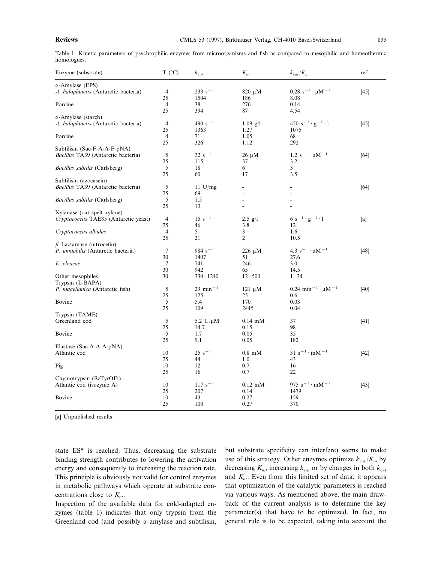Table 1. Kinetic parameters of psychrophilic enzymes from microorganisms and fish as compared to mesophilic and homeothermic homologues.

| Enzyme (substrate)                   | T (°C)         | $k_{cat}$             | $K_m$          | $k_{cat}/K_m$                                    | ref.   |
|--------------------------------------|----------------|-----------------------|----------------|--------------------------------------------------|--------|
| $\alpha$ -Amylase (EPS)              |                |                       |                |                                                  |        |
| A. haloplanctis (Antarctic bacteria) | $\overline{4}$ | $233 s^{-1}$          | $820 \mu M$    | $0.28 \text{ s}^{-1} \cdot \mu \text{M}^{-1}$    | $[45]$ |
|                                      | 25             | 1504                  | 186            | 8.08                                             |        |
| Porcine                              | 4              | 38                    | 276            | 0.14                                             |        |
|                                      | 25             | 394                   | 87             | 4.54                                             |        |
| $\alpha$ -Amylase (starch)           |                |                       |                |                                                  |        |
| A. haloplanctis (Antarctic bacteria) | $\overline{4}$ | 490 $s^{-1}$          | $1.09$ g/l     | 450 s <sup>-1</sup> · g <sup>-1</sup> · 1        | [45]   |
|                                      | 25             | 1363                  | 1.27           | 1075                                             |        |
| Porcine                              | 4              | 71                    | 1.05           | 68                                               |        |
|                                      | 25             | 326                   | 1.12           | 292                                              |        |
|                                      |                |                       |                |                                                  |        |
| Subtilisin (Suc-F-A-A-F-pNA)         |                |                       |                |                                                  |        |
| Bacillus TA39 (Antarctic bacteria)   | 5              | $32 s^{-1}$           | 26 µM          | $1.2 s^{-1} \cdot \mu M^{-1}$                    | [64]   |
|                                      | 25             | 115                   | 37             | 3.2                                              |        |
| Bacillus subtilis (Carlsberg)        | 5              | 18                    | 6              | 3                                                |        |
|                                      | 25             | 60                    | 17             | 3.5                                              |        |
| Subtilisin (azocasein)               |                |                       |                |                                                  |        |
| Bacillus TA39 (Antarctic bacteria)   | 5              | 11 $U/mg$             |                |                                                  | [64]   |
|                                      | 25             | 69                    |                |                                                  |        |
| <i>Bacillus subtilis</i> (Carlsberg) | 5              | 1.5                   |                |                                                  |        |
|                                      | 25             | 13                    | ÷              | ä,                                               |        |
| Xylanase (oat spelt xylane)          |                |                       |                |                                                  |        |
| Cryptococcus TAE85 (Antarctic yeast) | 4              | $15 s^{-1}$           | $2.5$ g/l      | $6 s^{-1} \cdot g^{-1} \cdot 1$                  | [a]    |
|                                      | 25             | 46                    | 3.8            | 12                                               |        |
| Cryptococcus albidus                 | $\overline{4}$ | 5                     | 3              | 1.6                                              |        |
|                                      | 25             | 21                    | $\overline{2}$ | 10.5                                             |        |
| $\beta$ -Lactamase (nitrocefin)      |                |                       |                |                                                  |        |
| P. immobilis (Antarctic bacteria)    | $\tau$         | $984 s^{-1}$          | $226 \mu M$    | 4.3 $s^{-1} \cdot \mu M^{-1}$                    | [48]   |
|                                      | 30             | 1407                  | 51             | 27.6                                             |        |
| E. cloacae                           | 7              | 741                   | 246            | 3.0                                              |        |
|                                      | 30             | 942                   | 65             | 14.5                                             |        |
|                                      |                |                       |                |                                                  |        |
| Other mesophiles                     | 30             | $330 - 1240$          | $12 - 500$     | $1 - 34$                                         |        |
| Trypsin (L-BAPA)                     |                |                       |                |                                                  |        |
| P. magellanica (Antarctic fish)      | 5              | $29 \text{ min}^{-1}$ | $121 \mu M$    | $0.24 \text{ min}^{-1} \cdot \mu\text{M}^{-1}$   | [40]   |
|                                      | 25             | 125                   | 25             | 0.6                                              |        |
| Bovine                               | 5              | 5.4                   | 170            | 0.03                                             |        |
|                                      | 25             | 109                   | 2445           | 0.04                                             |        |
| Trypsin (TAME)                       |                |                       |                |                                                  |        |
| Greenland cod                        | 5              | 5.2 U/ $\mu$ M        | $0.14$ mM      | 37                                               | [41]   |
|                                      | 25             | 14.7                  | 0.15           | 98                                               |        |
| Bovine                               | 5              | 1.7                   | 0.05           | 35                                               |        |
|                                      | 25             | 9.1                   | 0.05           | 182                                              |        |
| Elastase (Suc-A-A-A-pNA)             |                |                       |                |                                                  |        |
| Atlantic cod                         | 10             | $25 s^{-1}$           | $0.8$ mM       | $31 \text{ s}^{-1} \cdot \text{m} \text{M}^{-1}$ | $[42]$ |
|                                      | 25             | 44                    | 1.0            | 43                                               |        |
| Pig                                  | 10             | 12                    | 0.7            | 16                                               |        |
|                                      | 25             | 16                    | 0.7            | 22                                               |        |
| Chymotrypsin (BzTyrOEt)              |                |                       |                |                                                  |        |
| Atlantic cod (isozyme A)             | 10             | $117 s^{-1}$          | $0.12$ mM      | 975 $s^{-1} \cdot mM^{-1}$                       | [43]   |
|                                      | 25             | 207                   | 0.14           | 1479                                             |        |
| Bovine                               | 10             | 43                    | 0.27           | 159                                              |        |
|                                      | 25             | 100                   | 0.27           | 370                                              |        |
|                                      |                |                       |                |                                                  |        |

[a] Unpublished results.

state ES\* is reached. Thus, decreasing the substrate binding strength contributes to lowering the activation energy and consequently to increasing the reaction rate. This principle is obviously not valid for control enzymes in metabolic pathways which operate at substrate concentrations close to *Km*.

Inspection of the available data for cold-adapted enzymes (table 1) indicates that only trypsin from the Greenland cod (and possibly  $\alpha$ -amylase and subtilisin, but substrate specificity can interfere) seems to make use of this strategy. Other enzymes optimize  $k_{cat}/K_m$  by decreasing  $K_m$ , increasing  $k_{cat}$  or by changes in both  $k_{cat}$ and *Km*. Even from this limited set of data, it appears that optimization of the catalytic parameters is reached via various ways. As mentioned above, the main drawback of the current analysis is to determine the key parameter(s) that have to be optimized. In fact, no general rule is to be expected, taking into account the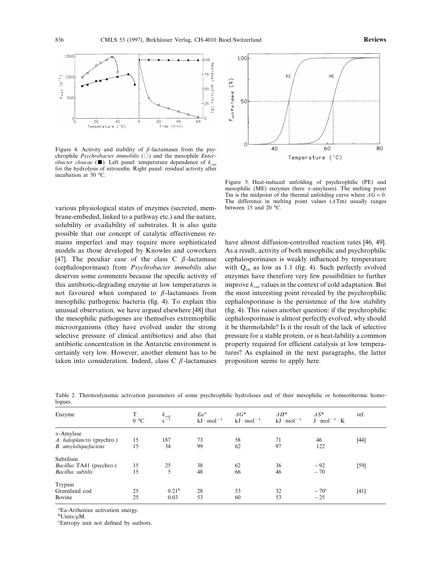

Figure 4. Activity and stability of  $\beta$ -lactamases from the psychrophile *Psychrobacter immobilis* ( ) and the mesophile *Enterobacter cloacae* ( $\blacksquare$ ). Left panel: temperature dependence of  $k_{cat}$ for the hydrolysis of nitrocefin. Right panel: residual activity after incubation at 50 °C.

various physiological states of enzymes (secreted, mem- between 15 and 20 °C. brane-embeded, linked to a pathway etc.) and the nature, solubility or availability of substrates. It is also quite possible that our concept of catalytic effectiveness remains imperfect and may require more sophisticated models as those developed by Knowles and coworkers [47]. The peculiar case of the class C  $\beta$ -lactamase (cephalosporinase) from *Psychrobacter immobilis* also deserves some comments because the specific activity of this antibiotic-degrading enzyme at low temperatures is not favoured when compared to  $\beta$ -lactamases from mesophilic pathogenic bacteria (fig. 4). To explain this unusual observation, we have argued elsewhere [48] that the mesophilic pathogenes are themselves extremophilic microorganisms (they have evolved under the strong selective pressure of clinical antibiotics) and also that antibiotic concentration in the Antarctic environment is certainly very low. However, another element has to be taken into consideration. Indeed, class  $C$   $\beta$ -lactamases



Figure 5. Heat-induced unfolding of psychrophilic (PE) and mesophilic (ME) enzymes (here  $\alpha$ -amylases). The melting point Tm is the midpoint of the thermal unfolding curve where  $\Delta \hat{G}=0$ . The difference in melting point values  $(1 \text{ Tm})$  usually ranges

have almost diffusion-controlled reaction rates [46, 49]. As a result, activity of both mesophilic and psychrophilic cephalosporinases is weakly influenced by temperature with  $Q_{10}$  as low as 1.1 (fig. 4). Such perfectly evolved enzymes have therefore very few possibilities to further improve  $k_{cat}$  values in the context of cold adaptation. But the most interesting point revealed by the psychrophilic cephalosporinase is the persistence of the low stability (fig. 4). This raises another question: if the psychrophilic cephalosporinase is almost perfectly evolved, why should it be thermolabile? Is it the result of the lack of selective pressure for a stable protein, or is heat-lability a common property required for efficient catalysis at low temperatures? As explained in the next paragraphs, the latter proposition seems to apply here.

| Enzyme                     | 0 °C | $k_{cat}$<br>$s^{-1}$ | $Ea^a$<br>$kJ \cdot mol^{-1}$ | $\varDelta G^*$<br>$kJ \cdot mol^{-1}$ | $\varDelta H^*$<br>$kJ \cdot mol^{-1}$ | $\Delta S^*$<br>$J \cdot mol^{-1} \cdot K$ | ref.   |
|----------------------------|------|-----------------------|-------------------------------|----------------------------------------|----------------------------------------|--------------------------------------------|--------|
| $\alpha$ -Amylase          |      |                       |                               |                                        |                                        |                                            |        |
| A. haloplanctis (psychro.) | 15   | 187                   | 73                            | 58                                     | 71                                     | 46                                         | $[44]$ |
| B. amyloliquefaciens       | 15   | 34                    | 99                            | 62                                     | 97                                     | 122                                        |        |
| Subtilisin                 |      |                       |                               |                                        |                                        |                                            |        |
| Bacillus TA41 (psychro.)   | 15   | 25                    | 38                            | 62                                     | 36                                     | $-92$                                      | $[59]$ |
| <b>Bacillus</b> subtilis   | 15   |                       | 48                            | 66                                     | 46                                     | $-70$                                      |        |
| Trypsin                    |      |                       |                               |                                        |                                        |                                            |        |
| Greenland cod              | 25   | 0.21 <sup>b</sup>     | 28                            | 53                                     | 32                                     | $-70^{\circ}$                              | $[41]$ |
| Bovine                     | 25   | 0.03                  | 53                            | 60                                     | 53                                     | $-25$                                      |        |

Table 2. Thermodynamic activation parameters of some psychrophilic hydrolases and of their mesophilic or homeothermic homologues.

a Ea-Arrhenius activation energy.

 $\rm^b Units/\mu M.$ <br>  $\rm^cEntropy$  w

Entropy unit not defined by authors.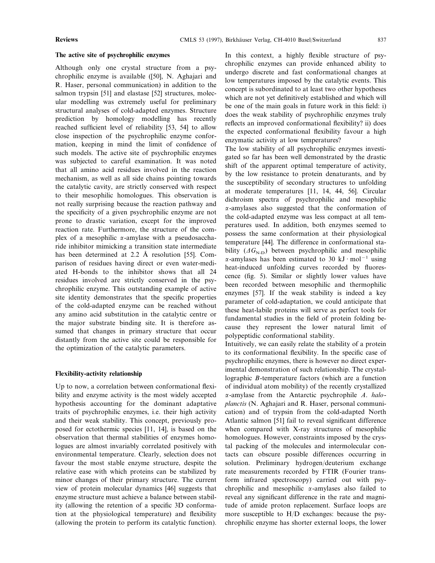#### **The active site of psychrophilic enzymes**

Although only one crystal structure from a psychrophilic enzyme is available ([50], N. Aghajari and R. Haser, personal communication) in addition to the salmon trypsin [51] and elastase [52] structures, molecular modelling was extremely useful for preliminary structural analyses of cold-adapted enzymes. Structure prediction by homology modelling has recently reached sufficient level of reliability [53, 54] to allow close inspection of the psychrophilic enzyme conformation, keeping in mind the limit of confidence of such models. The active site of psychrophilic enzymes was subjected to careful examination. It was noted that all amino acid residues involved in the reaction mechanism, as well as all side chains pointing towards the catalytic cavity, are strictly conserved with respect to their mesophilic homologues. This observation is not really surprising because the reaction pathway and the specificity of a given psychrophilic enzyme are not prone to drastic variation, except for the improved reaction rate. Furthermore, the structure of the complex of a mesophilic  $\alpha$ -amylase with a pseudosaccharide inhibitor mimicking a transition state intermediate has been determined at 2.2 Å resolution [55]. Comparison of residues having direct or even water-mediated H-bonds to the inhibitor shows that all 24 residues involved are strictly conserved in the psychrophilic enzyme. This outstanding example of active site identity demonstrates that the specific properties of the cold-adapted enzyme can be reached without any amino acid substitution in the catalytic centre or the major substrate binding site. It is therefore assumed that changes in primary structure that occur distantly from the active site could be responsible for the optimization of the catalytic parameters.

#### **Flexibility-activity relationship**

Up to now, a correlation between conformational flexibility and enzyme activity is the most widely accepted hypothesis accounting for the dominant adaptative traits of psychrophilic enzymes, i.e. their high activity and their weak stability. This concept, previously proposed for ectothermic species [11, 14], is based on the observation that thermal stabilities of enzymes homologues are almost invariably correlated positively with environmental temperature. Clearly, selection does not favour the most stable enzyme structure, despite the relative ease with which proteins can be stabilized by minor changes of their primary structure. The current view of protein molecular dynamics [46] suggests that enzyme structure must achieve a balance between stability (allowing the retention of a specific 3D conformation at the physiological temperature) and flexibility (allowing the protein to perform its catalytic function).

In this context, a highly flexible structure of psychrophilic enzymes can provide enhanced ability to undergo discrete and fast conformational changes at low temperatures imposed by the catalytic events. This concept is subordinated to at least two other hypotheses which are not yet definitively established and which will be one of the main goals in future work in this field: i) does the weak stability of psychrophilic enzymes truly reflects an improved conformational flexibility? ii) does the expected conformational flexibility favour a high enzymatic activity at low temperatures?

The low stability of all psychrophilic enzymes investigated so far has been well demonstrated by the drastic shift of the apparent optimal temperature of activity, by the low resistance to protein denaturants, and by the susceptibility of secondary structures to unfolding at moderate temperatures [11, 14, 44, 56]. Circular dichroism spectra of psychrophilic and mesophilic  $\alpha$ -amylases also suggested that the conformation of the cold-adapted enzyme was less compact at all temperatures used. In addition, both enzymes seemed to possess the same conformation at their physiological temperature [44]. The difference in conformational stability  $(\Delta G_{N-D})$  between psychrophilic and mesophilic  $\alpha$ -amylases has been estimated to 30 kJ · mol<sup>-1</sup> using heat-induced unfolding curves recorded by fluorescence (fig. 5). Similar or slightly lower values have been recorded between mesophilic and thermophilic enzymes [57]. If the weak stability is indeed a key parameter of cold-adaptation, we could anticipate that these heat-labile proteins will serve as perfect tools for fundamental studies in the field of protein folding because they represent the lower natural limit of polypeptidic conformational stability.

Intuitively, we can easily relate the stability of a protein to its conformational flexibility. In the specific case of psychrophilic enzymes, there is however no direct experimental demonstration of such relationship. The crystallographic *B*-temperature factors (which are a function of individual atom mobility) of the recently crystallized a-amylase from the Antarctic psychrophile *A*. *haloplanctis* (N. Aghajari and R. Haser, personal communication) and of trypsin from the cold-adapted North Atlantic salmon [51] fail to reveal significant difference when compared with X-ray structures of mesophilic homologues. However, constraints imposed by the crystal packing of the molecules and intermolecular contacts can obscure possible differences occurring in solution. Preliminary hydrogen/deuterium exchange rate measurements recorded by FTIR (Fourier transform infrared spectroscopy) carried out with psychrophilic and mesophilic  $\alpha$ -amylases also failed to reveal any significant difference in the rate and magnitude of amide proton replacement. Surface loops are more susceptible to H/D exchanges: because the psychrophilic enzyme has shorter external loops, the lower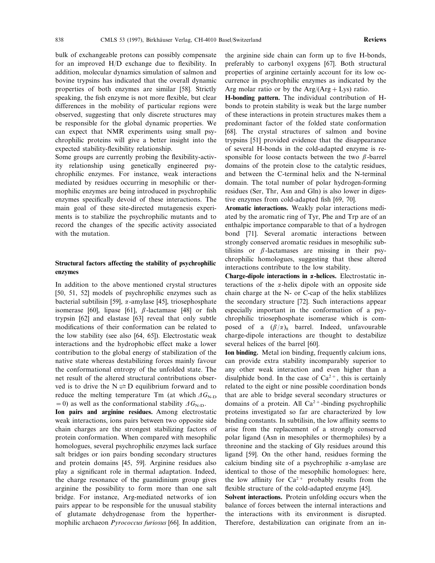bulk of exchangeable protons can possibly compensate for an improved H/D exchange due to flexibility. In addition, molecular dynamics simulation of salmon and bovine trypsins has indicated that the overall dynamic properties of both enzymes are similar [58]. Strictly speaking, the fish enzyme is not more flexible, but clear differences in the mobility of particular regions were observed, suggesting that only discrete structures may be responsible for the global dynamic properties. We can expect that NMR experiments using small psychrophilic proteins will give a better insight into the expected stability-flexibility relationship.

Some groups are currently probing the flexibility-activity relationship using genetically engineered psychrophilic enzymes. For instance, weak interactions mediated by residues occurring in mesophilic or thermophilic enzymes are being introduced in psychrophilic enzymes specifically devoid of these interactions. The main goal of these site-directed mutagenesis experiments is to stabilize the psychrophilic mutants and to record the changes of the specific activity associated with the mutation.

### **Structural factors affecting the stability of psychrophilic enzymes**

In addition to the above mentioned crystal structures [50, 51, 52] models of psychrophilic enzymes such as bacterial subtilisin [59],  $\alpha$ -amylase [45], triosephosphate isomerase [60], lipase [61],  $\beta$ -lactamase [48] or fish trypsin [62] and elastase [63] reveal that only subtle modifications of their conformation can be related to the low stability (see also [64, 65]). Electrostatic weak interactions and the hydrophobic effect make a lower contribution to the global energy of stabilization of the native state whereas destabilizing forces mainly favour the conformational entropy of the unfolded state. The net result of the altered structural contributions observed is to drive the  $N \rightleftharpoons D$  equilibrium forward and to reduce the melting temperature Tm (at which  $\Delta G_{\text{N-D}}$  $=0$ ) as well as the conformational stability  $\Delta G_{\text{N-D}}$ .

**Ion pairs and arginine residues.** Among electrostatic weak interactions, ions pairs between two opposite side chain charges are the strongest stabilizing factors of protein conformation. When compared with mesophilic homologues, several psychrophilic enzymes lack surface salt bridges or ion pairs bonding secondary structures and protein domains [45, 59]. Arginine residues also play a significant role in thermal adaptation. Indeed, the charge resonance of the guanidinium group gives arginine the possibility to form more than one salt bridge. For instance, Arg-mediated networks of ion pairs appear to be responsible for the unusual stability of glutamate dehydrogenase from the hyperthermophilic archaeon *Pyrococcus furiosus* [66]. In addition, the arginine side chain can form up to five H-bonds, preferably to carbonyl oxygens [67]. Both structural properties of arginine certainly account for its low occurrence in psychrophilic enzymes as indicated by the Arg molar ratio or by the  $Arg/(Arg + Lys)$  ratio.

**H-bonding pattern.** The individual contribution of Hbonds to protein stability is weak but the large number of these interactions in protein structures makes them a predominant factor of the folded state conformation [68]. The crystal structures of salmon and bovine trypsins [51] provided evidence that the disappearance of several H-bonds in the cold-adapted enzyme is responsible for loose contacts between the two  $\beta$ -barrel domains of the protein close to the catalytic residues, and between the C-terminal helix and the N-terminal domain. The total number of polar hydrogen-forming residues (Ser, Thr, Asn and Gln) is also lower in digestive enzymes from cold-adapted fish [69, 70].

**Aromatic interactions.** Weakly polar interactions mediated by the aromatic ring of Tyr, Phe and Trp are of an enthalpic importance comparable to that of a hydrogen bond [71]. Several aromatic interactions between strongly conserved aromatic residues in mesophilic subtilisins or  $\beta$ -lactamases are missing in their psychrophilic homologues, suggesting that these altered interactions contribute to the low stability.

**Charge-dipole interactions in** a**-helices.** Electrostatic interactions of the  $\alpha$ -helix dipole with an opposite side chain charge at the N- or C-cap of the helix stablilizes the secondary structure [72]. Such interactions appear especially important in the conformation of a psychrophilic triosephosphate isomerase which is composed of a  $(\beta/\alpha)_8$  barrel. Indeed, unfavourable charge-dipole interactions are thought to destabilize several helices of the barrel [60].

**Ion binding.** Metal ion binding, frequently calcium ions, can provide extra stability incomparably superior to any other weak interaction and even higher than a disulphide bond. In the case of  $Ca^{2+}$ , this is certainly related to the eight or nine possible coordination bonds that are able to bridge several secondary structures or domains of a protein. All  $Ca^{2+}$ -binding psychrophilic proteins investigated so far are characterized by low binding constants. In subtilisin, the low affinity seems to arise from the replacement of a strongly conserved polar ligand (Asn in mesophiles or thermophiles) by a threonine and the stacking of Gly residues around this ligand [59]. On the other hand, residues forming the calcium binding site of a psychrophilic  $\alpha$ -amylase are identical to those of the mesophilic homologues: here, the low affinity for  $Ca^{2+}$  probably results from the flexible structure of the cold-adapted enzyme [45].

**Solvent interactions.** Protein unfolding occurs when the balance of forces between the internal interactions and the interactions with its environment is disrupted. Therefore, destabilization can originate from an in-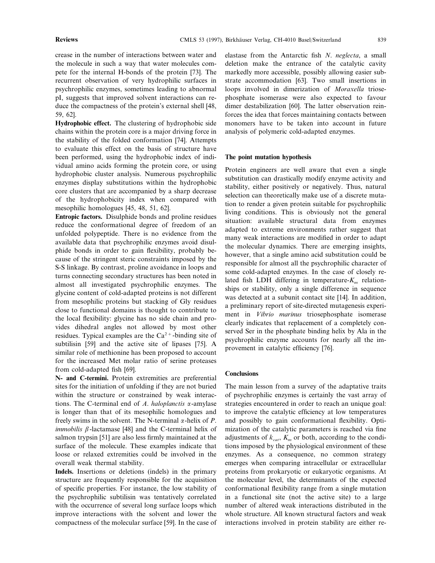crease in the number of interactions between water and the molecule in such a way that water molecules compete for the internal H-bonds of the protein [73]. The recurrent observation of very hydrophilic surfaces in psychrophilic enzymes, sometimes leading to abnormal pI, suggests that improved solvent interactions can reduce the compactness of the protein's external shell [48, 59, 62].

**Hydrophobic effect.** The clustering of hydrophobic side chains within the protein core is a major driving force in the stability of the folded conformation [74]. Attempts to evaluate this effect on the basis of structure have been performed, using the hydrophobic index of individual amino acids forming the protein core, or using hydrophobic cluster analysis. Numerous psychrophilic enzymes display substitutions within the hydrophobic core clusters that are accompanied by a sharp decrease of the hydrophobicity index when compared with mesophilic homologues [45, 48, 51, 62].

**Entropic factors.** Disulphide bonds and proline residues reduce the conformational degree of freedom of an unfolded polypeptide. There is no evidence from the available data that psychrophilic enzymes avoid disulphide bonds in order to gain flexibility, probably because of the stringent steric constraints imposed by the S-S linkage. By contrast, proline avoidance in loops and turns connecting secondary structures has been noted in almost all investigated psychrophilic enzymes. The glycine content of cold-adapted proteins is not different from mesophilic proteins but stacking of Gly residues close to functional domains is thought to contribute to the local flexibility: glycine has no side chain and provides dihedral angles not allowed by most other residues. Typical examples are the  $Ca^{2+}$ -binding site of subtilisin [59] and the active site of lipases [75]. A similar role of methionine has been proposed to account for the increased Met molar ratio of serine proteases from cold-adapted fish [69].

**N- and C-termini.** Protein extremities are preferential sites for the initiation of unfolding if they are not buried within the structure or constrained by weak interactions. The C-terminal end of *A*. *haloplanctis* a-amylase is longer than that of its mesophilic homologues and freely swims in the solvent. The N-terminal  $\alpha$ -helix of *P*. *immobilis*  $\beta$ -lactamase [48] and the C-terminal helix of salmon trypsin [51] are also less firmly maintained at the surface of the molecule. These examples indicate that loose or relaxed extremities could be involved in the overall weak thermal stability.

**Indels.** Insertions or deletions (indels) in the primary structure are frequently responsible for the acquisition of specific properties. For instance, the low stability of the psychrophilic subtilisin was tentatively correlated with the occurrence of several long surface loops which improve interactions with the solvent and lower the compactness of the molecular surface [59]. In the case of elastase from the Antarctic fish *N*. *neglecta*, a small deletion make the entrance of the catalytic cavity markedly more accessible, possibly allowing easier substrate accommodation [63]. Two small insertions in loops involved in dimerization of *Moraxella* triosephosphate isomerase were also expected to favour dimer destabilization [60]. The latter observation reinforces the idea that forces maintaining contacts between monomers have to be taken into account in future analysis of polymeric cold-adapted enzymes.

#### **The point mutation hypothesis**

Protein engineers are well aware that even a single substitution can drastically modify enzyme activity and stability, either positively or negatively. Thus, natural selection can theoretically make use of a discrete mutation to render a given protein suitable for psychrophilic living conditions. This is obviously not the general situation: available structural data from enzymes adapted to extreme environments rather suggest that many weak interactions are modified in order to adapt the molecular dynamics. There are emerging insights, however, that a single amino acid substitution could be responsible for almost all the psychrophilic character of some cold-adapted enzymes. In the case of closely related fish LDH differing in temperature- $K_m$  relationships or stability, only a single difference in sequence was detected at a subunit contact site [14]. In addition, a preliminary report of site-directed mutagenesis experiment in *Vibrio marinus* triosephosphate isomerase clearly indicates that replacement of a completely conserved Ser in the phosphate binding helix by Ala in the psychrophilic enzyme accounts for nearly all the improvement in catalytic efficiency [76].

#### **Conclusions**

The main lesson from a survey of the adaptative traits of psychrophilic enzymes is certainly the vast array of strategies encountered in order to reach an unique goal: to improve the catalytic efficiency at low temperatures and possibly to gain conformational flexibility. Optimization of the catalytic parameters is reached via fine adjustments of  $k_{cat}$ ,  $K_m$  or both, according to the conditions imposed by the physiological environment of these enzymes. As a consequence, no common strategy emerges when comparing intracellular or extracellular proteins from prokaryotic or eukaryotic organisms. At the molecular level, the determinants of the expected conformational flexibility range from a single mutation in a functional site (not the active site) to a large number of altered weak interactions distributed in the whole structure. All known structural factors and weak interactions involved in protein stability are either re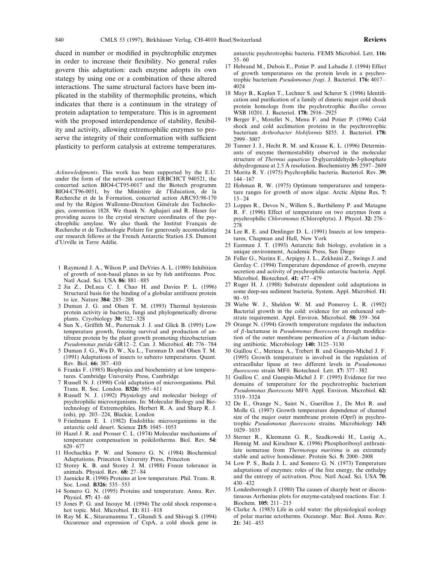duced in number or modified in psychrophilic enzymes in order to increase their flexibility. No general rules govern this adaptation: each enzyme adopts its own stategy by using one or a combination of these altered interactions. The same structural factors have been implicated in the stability of thermophilic proteins, which indicates that there is a continuum in the strategy of protein adaptation to temperature. This is in agreement with the proposed interdependence of stability, flexibility and activity, allowing extremophilic enzymes to preserve the integrity of their conformation with sufficient plasticity to perform catalysis at extreme temperatures.

*Acknowledgments*. This work has been supported by the E.U. under the form of the network contract ERBCHCT 940521, the concerted action BIO4-CT95-0017 and the Biotech programm BIO4-CT96-0051, by the Ministère de l'Education, de la Recherche et de la Formation, concerted action ARC93/98-170 and by the Région Wallonne-Direction Générale des Technologies, convention 1828. We thank N. Aghajari and R. Haser for providing access to the crystal structure coordinates of the psychrophilic amylase. We also thank the Institut Français de Recherche et de Technologie Polaire for generously accomodating our research fellows at the French Antarctic Station J.S. Dumont d'Urville in Terre Adélie.

- 1 Raymond J. A., Wilson P. and DeVries A. L. (1989) Inhibition of growth of non-basal planes in ice by fish antifreezes. Proc. Natl Acad. Sci. USA **86:** 881–885
- 2 Jia Z., DeLuca C. I. Chao H. and Davies P. L. (1996) Structural basis for the binding of a globular antifreeze protein to ice. Nature **384:** 285–288
- 3 Duman J. G. and Olsen T. M. (1993) Thermal hysteresis protein activity in bacteria, fungi and phylogenetically diverse plants. Cryobiology **30:** 322–328
- 4 Sun X., Griffith M., Pasternak J. J. and Glick B. (1995) Low temperature growth, freezing survival and production of antifreeze protein by the plant growth promoting rhizobacterium *Pseudomonas putida* GR12–2. Can. J. Microbiol. **41:** 776–784
- 5 Duman J. G., Wu D. W., Xu L., Tursman D. and Olsen T. M. (1991) Adaptations of insects to subzero temperatures. Quant. Rev. Biol. **66:** 387–410
- 6 Franks F. (1985) Biophysics and biochemistry at low temperatures. Cambridge University Press, Cambridge
- 7 Russell N. J. (1990) Cold adaptation of microorganisms. Phil. Trans. R. Soc. London. **B326:** 595–611
- 8 Russell N. J. (1992) Physiology and molecular biology of psychrophilic microorganisms. In: Molecular Biology and Biotechnology of Extremophiles, Herbert R. A. and Sharp R. J. (eds), pp. 203–224, Blackie, London
- 9 Friedmann E. I. (1982) Endolithic microorganisms in the antarctic cold desert. Science **215:** 1045–1053
- 10 Hazel J. R. and Prosser C. L. (1974) Molecular mechanisms of temperature compensation in poikilotherms. Biol. Rev. **54:** 620–677
- 11 Hochachka P. W. and Somero G. N. (1984) Biochemical Adaptations, Princeton University Press, Princeton
- 12 Storey K. B. and Storey J. M. (1988) Freeze tolerance in animals. Physiol. Rev. **68:** 27–84
- 13 Jaenicke R. (1990) Proteins at low temperature. Phil. Trans. R. Soc. Lond. **B326:** 535–553
- 14 Somero G. N. (1995) Proteins and temperature. Annu. Rev. Physiol. **57:** 43–68
- 15 Jones P. G. and Inouye M. (1994) The cold shock response-a hot topic. Mol. Microbiol. **11:** 811–818
- 16 Ray M. K., Sitaramamma T., Ghandi S. and Shivagi S. (1994) Occurence and expression of CspA, a cold shock gene in

antarctic psychrotrophic bacteria. FEMS Microbiol. Lett. **116:** 55–60

- 17 Hebrand M., Dubois E., Potier P. and Labadie J. (1994) Effect of growth temperatures on the protein levels in a psychrotrophic bacterium *Pseudomonas fragi*. J. Bacteriol. **176:** 4017– 4024
- 18 Mayr B., Kaplan T., Lechner S. and Scherer S. (1996) Identification and purification of a family of dimeric major cold shock protein homologs from the psychrotrophic *Bacillus cereus* WSB 10201. J. Bacteriol. **178:** 2916–2925
- 19 Berger F., Morellet N., Menu F. and Potier P. (1996) Cold shock and cold acclimation proteins in the psychrotrophic bacterium *Arthrobacter blobiformis* SI55. J. Bacteriol. **178:** 2999–3007
- 20 Tanner J. J., Hecht R. M. and Krause K. L. (1996) Determinants of enzyme thermostability observed in the molecular structure of *Thermus aquaticus* D-glyceraldehyde-3-phosphate dehydrogenase at 2.5 A˚ resolution. Biochemistry **35:** 2597–2609
- 21 Morita R. Y. (1975) Psychrophilic bacteria. Bacteriol. Rev. **39:** 144–167
- 22 Hohman R. W. (1975) Optimum temperatures and temperature ranges for growth of snow algae. Arctic Alpine Res. **7:** 13–24
- 23 Loppes R., Devos N., Willem S., Barthélemy P. and Matagne R. F. (1996) Effect of temperature on two enzymes from a psychrophilic *Chloromonas* (Chlorophyta). J. Phycol. **32:** 276– 278
- 24 Lee R. E. and Denlinger D. L. (1991) Insects at low temperatures, Chapman and Hall, New York
- 25 Eastman J. T. (1993) Antarctic fish biology, evolution in a unique environment, Academic Press, San Diego
- 26 Feller G., Narinx E., Arpigny J. L., Zekhnini Z., Swings J. and Gerday C. (1994) Temperature dependence of growth, enzyme secretion and activity of psychrophilic antarctic bacteria. Appl. Microbiol. Biotechnol. **41:** 477–479
- 27 Ruger H. J. (1988) Substrate dependent cold adaptations in some deep-sea sediment bacteria. System. Appl. Microbiol. **11:** 90–93
- 28 Wiebe W. J., Sheldon W. M. and Pomeroy L. R. (1992) Bacterial growth in the cold: evidence for an enhanced substrate requirement. Appl. Environ. Microbiol. **58:** 359–364
- 29 Orange N. (1994) Growth temperature regulates the induction of  $\beta$ -lactamase in *Pseudomonas fluorescens* through modification of the outer membrane permeation of a  $\beta$ -lactam inducing antibiotic. Microbiology **140:** 3125–3130
- 30 Guillou C., Merieau A., Trebert B. and Guespin-Michel J. F. (1995) Growth temperature is involved in the regulation of extracellular lipase at two different levels in *Pseudomonas fluorescens* strain MF0. Biotechnol. Lett. **17:** 377–382
- 31 Guillou C. and Guespin-Michel J. F. (1995) Evidence for two domains of temperature for the psychrotrophic bacterium *Pseudomonas fluorescens* MF0. Appl. Environ. Microbiol. **62:** 3319–3324
- 32 De E., Orange N., Saint N., Guerillon J., De Mot R. and Molle G. (1997) Growth temperature dependence of channel size of the major outer membrane protein (Oprf) in psychrotrophic *Pseudomonas fluorescens* strains. Microbiology **143:** 1029–1035
- 33 Sterner R., Kleemann G. R., Szadkowski H., Lustig A., Hennig M. and Kirschner K. (1996) Phosphoribosyl anthranilate isomerase from *Thermotoga maritima* is an extremely stable and active homodimer. Protein Sci. **5:** 2000–2008
- 34 Low P. S., Bada J. L. and Somero G. N. (1973) Temperature adaptations of enzymes: roles of the free energy, the enthalpy and the entropy of activation. Proc. Natl Acad. Sci. USA **70:** 430–432
- 35 Londesborough J. (1980) The causes of sharply bent or discontinuous Arrhenius plots for enzyme-catalysed reactions. Eur. J. Biochem. **105:** 211–215
- 36 Clarke A. (1983) Life in cold water: the physiological ecology of polar marine ectotherms. Oceanogr. Mar. Biol. Annu. Rev. **21:** 341–453